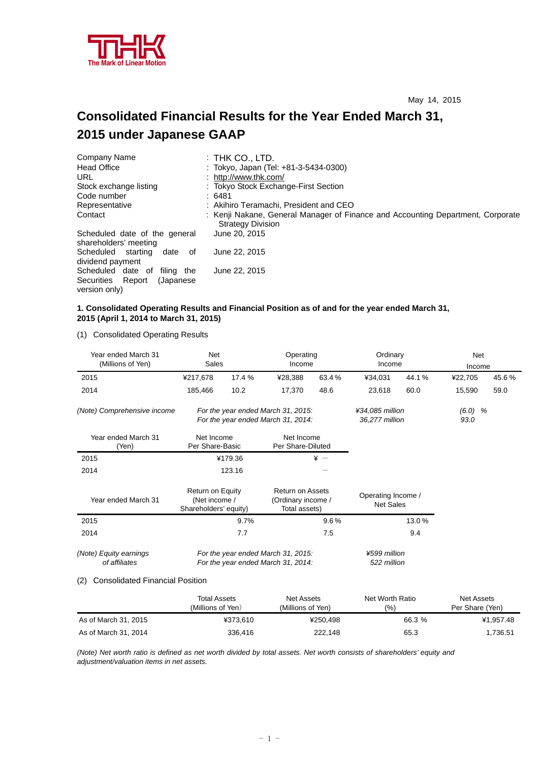

# **Consolidated Financial Results for the Year Ended March 31, 2015 under Japanese GAAP**

| Company Name                                           | $:$ Thk Co., LTD.                                                                                           |
|--------------------------------------------------------|-------------------------------------------------------------------------------------------------------------|
| <b>Head Office</b>                                     | : Tokyo, Japan (Tel: +81-3-5434-0300)                                                                       |
| URL                                                    | : http://www.thk.com/                                                                                       |
| Stock exchange listing                                 | : Tokyo Stock Exchange-First Section                                                                        |
| Code number                                            | : 6481                                                                                                      |
| Representative                                         | : Akihiro Teramachi, President and CEO                                                                      |
| Contact                                                | : Kenji Nakane, General Manager of Finance and Accounting Department, Corporate<br><b>Strategy Division</b> |
| Scheduled date of the general<br>shareholders' meeting | June 20, 2015                                                                                               |
| Scheduled starting<br>date of<br>dividend payment      | June 22, 2015                                                                                               |
| Scheduled date of<br>filina the                        | June 22, 2015                                                                                               |
| Securities<br>Report<br>(Japanese)                     |                                                                                                             |
| version only)                                          |                                                                                                             |

### **1. Consolidated Operating Results and Financial Position as of and for the year ended March 31, 2015 (April 1, 2014 to March 31, 2015)**

(1) Consolidated Operating Results

| Year ended March 31<br>(Millions of Yen) | Net<br>Sales                                                                                                                 |                                                                          |                                        | Operating<br>Ordinary<br>Income<br>Income |         |                   | Net<br>Income |       |
|------------------------------------------|------------------------------------------------------------------------------------------------------------------------------|--------------------------------------------------------------------------|----------------------------------------|-------------------------------------------|---------|-------------------|---------------|-------|
| 2015                                     | ¥217,678                                                                                                                     | 17.4 %                                                                   | ¥28,388                                | 63.4%                                     | ¥34,031 | 44.1%             | ¥22,705       | 45.6% |
| 2014                                     | 185,466                                                                                                                      | 10.2                                                                     | 17,370                                 | 48.6                                      | 23,618  | 60.0              | 15,590        | 59.0  |
| (Note) Comprehensive income              |                                                                                                                              | For the year ended March 31, 2015:<br>For the year ended March 31, 2014: |                                        | ¥34,085 million<br>36,277 million         |         | $(6.0)$ %<br>93.0 |               |       |
| Year ended March 31<br>(Yen)             | Net Income<br>Per Share-Basic                                                                                                |                                                                          | Net Income<br>Per Share-Diluted        |                                           |         |                   |               |       |
| 2015                                     |                                                                                                                              | ¥179.36                                                                  | $* -$                                  |                                           |         |                   |               |       |
| 2014                                     |                                                                                                                              | 123.16                                                                   |                                        |                                           |         |                   |               |       |
| Year ended March 31                      | Return on Equity<br><b>Return on Assets</b><br>(Net income /<br>(Ordinary income /<br>Shareholders' equity)<br>Total assets) |                                                                          | Operating Income /<br><b>Net Sales</b> |                                           |         |                   |               |       |
| 2015                                     | 9.7%                                                                                                                         |                                                                          |                                        | $9.6\%$                                   |         | 13.0%             |               |       |
| 2014                                     | 7.7<br>7.5                                                                                                                   |                                                                          |                                        | 9.4                                       |         |                   |               |       |
| (Note) Equity earnings<br>of affiliates  | For the year ended March 31, 2015:<br>For the year ended March 31, 2014:                                                     |                                                                          | ¥599 million<br>522 million            |                                           |         |                   |               |       |

## (2) Consolidated Financial Position

|                      | Total Assets<br>(Millions of Yen) | Net Assets<br>(Millions of Yen) | Net Worth Ratio<br>(%) | Net Assets<br>Per Share (Yen) |
|----------------------|-----------------------------------|---------------------------------|------------------------|-------------------------------|
| As of March 31, 2015 | ¥373.610                          | ¥250.498                        | 66.3 %                 | ¥1.957.48                     |
| As of March 31, 2014 | 336,416                           | 222.148                         | 65.3                   | 1.736.51                      |

*(Note) Net worth ratio is defined as net worth divided by total assets. Net worth consists of shareholders' equity and adjustment/valuation items in net assets.*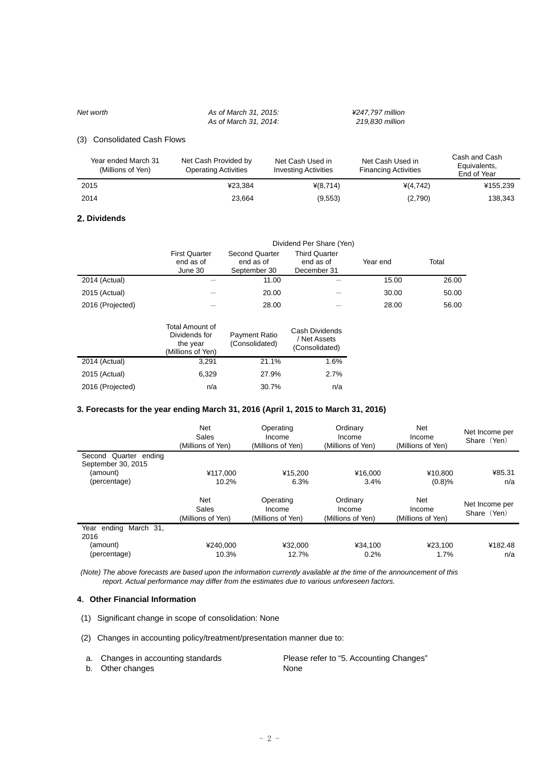*Net worth As of March 31, 2015: ¥247,797 million As of March 31, 2014: 219,830 million* 

### (3) Consolidated Cash Flows

| Year ended March 31<br>(Millions of Yen) | Net Cash Provided by<br>Net Cash Used in<br><b>Investing Activities</b><br><b>Operating Activities</b> |            | Net Cash Used in<br><b>Financing Activities</b> | Cash and Cash<br>Equivalents,<br>End of Year |
|------------------------------------------|--------------------------------------------------------------------------------------------------------|------------|-------------------------------------------------|----------------------------------------------|
| 2015                                     | ¥23.384                                                                                                | $*(8,714)$ | $*(4.742)$                                      | ¥155,239                                     |
| 2014                                     | 23.664                                                                                                 | (9,553)    | (2,790)                                         | 138,343                                      |

#### **2. Dividends**

|                  | Dividend Per Share (Yen)                     |                                                    |                                                  |          |       |  |  |
|------------------|----------------------------------------------|----------------------------------------------------|--------------------------------------------------|----------|-------|--|--|
|                  | <b>First Quarter</b><br>end as of<br>June 30 | <b>Second Quarter</b><br>end as of<br>September 30 | <b>Third Quarter</b><br>end as of<br>December 31 | Year end | Total |  |  |
| 2014 (Actual)    |                                              | 11.00                                              |                                                  | 15.00    | 26.00 |  |  |
| 2015 (Actual)    |                                              | 20.00                                              |                                                  | 30.00    | 50.00 |  |  |
| 2016 (Projected) |                                              | 28.00                                              |                                                  | 28.00    | 56.00 |  |  |

|                  | Total Amount of<br>Dividends for<br>the year<br>(Millions of Yen) | Payment Ratio<br>(Consolidated) | Cash Dividends<br>/ Net Assets<br>(Consolidated) |
|------------------|-------------------------------------------------------------------|---------------------------------|--------------------------------------------------|
| 2014 (Actual)    | 3.291                                                             | 21.1%                           | 1.6%                                             |
| 2015 (Actual)    | 6,329                                                             | 27.9%                           | 2.7%                                             |
| 2016 (Projected) | n/a                                                               | 30.7%                           | n/a                                              |

### **3. Forecasts for the year ending March 31, 2016 (April 1, 2015 to March 31, 2016)**

|                                                | <b>Net</b><br>Sales<br>(Millions of Yen) | Operating<br>Income<br>(Millions of Yen) | Ordinary<br>Income<br>(Millions of Yen) | <b>Net</b><br>Income<br>(Millions of Yen) | Net Income per<br>Share (Yen) |
|------------------------------------------------|------------------------------------------|------------------------------------------|-----------------------------------------|-------------------------------------------|-------------------------------|
| Second Quarter<br>endina                       |                                          |                                          |                                         |                                           |                               |
| September 30, 2015<br>(amount)<br>(percentage) | ¥117.000<br>10.2%                        | ¥15.200<br>6.3%                          | ¥16.000<br>3.4%                         | ¥10.800<br>(0.8)%                         | ¥85.31<br>n/a                 |
|                                                | <b>Net</b><br>Sales<br>(Millions of Yen) | Operating<br>Income<br>(Millions of Yen) | Ordinary<br>Income<br>(Millions of Yen) | <b>Net</b><br>Income<br>(Millions of Yen) | Net Income per<br>Share (Yen) |
| Year ending March 31.<br>2016                  |                                          |                                          |                                         |                                           |                               |
| (amount)                                       | ¥240.000                                 | ¥32.000                                  | ¥34.100                                 | ¥23.100                                   | ¥182.48                       |
| (percentage)                                   | 10.3%                                    | 12.7%                                    | 0.2%                                    | 1.7%                                      | n/a                           |

 *(Note) The above forecasts are based upon the information currently available at the time of the announcement of this report. Actual performance may differ from the estimates due to various unforeseen factors.* 

# **4**.**Other Financial Information**

- (1) Significant change in scope of consolidation: None
- (2) Changes in accounting policy/treatment/presentation manner due to:

| a. Changes in accounting standards | Please refer to "5. Accounting Changes" |
|------------------------------------|-----------------------------------------|
| b. Other changes                   | None                                    |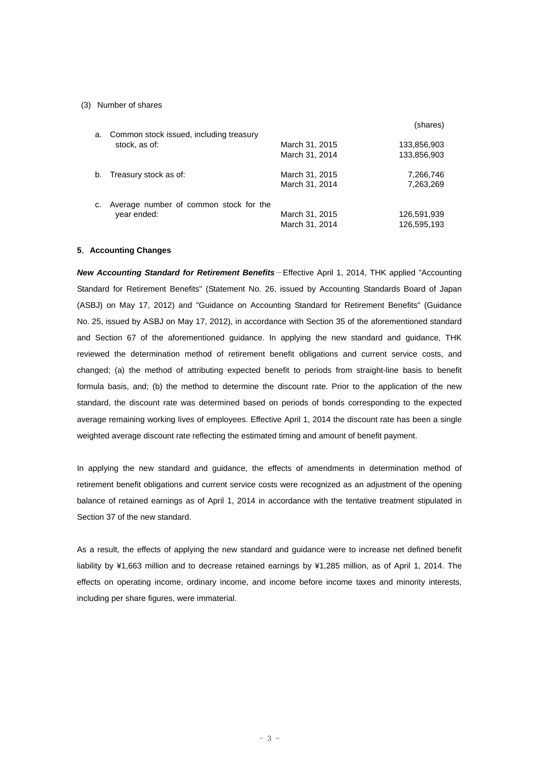#### (3) Number of shares

|    |                                         |                | (shares)    |
|----|-----------------------------------------|----------------|-------------|
| a. | Common stock issued, including treasury |                |             |
|    | stock, as of:                           | March 31, 2015 | 133,856,903 |
|    |                                         | March 31, 2014 | 133,856,903 |
| b. | Treasury stock as of:                   | March 31, 2015 | 7,266,746   |
|    |                                         | March 31, 2014 | 7,263,269   |
| c. | Average number of common stock for the  |                |             |
|    | year ended:                             | March 31, 2015 | 126,591,939 |
|    |                                         | March 31, 2014 | 126,595,193 |

#### **5**.**Accounting Changes**

*New Accounting Standard for Retirement Benefits*-Effective April 1, 2014, THK applied "Accounting Standard for Retirement Benefits" (Statement No. 26, issued by Accounting Standards Board of Japan (ASBJ) on May 17, 2012) and "Guidance on Accounting Standard for Retirement Benefits" (Guidance No. 25, issued by ASBJ on May 17, 2012), in accordance with Section 35 of the aforementioned standard and Section 67 of the aforementioned guidance. In applying the new standard and guidance, THK reviewed the determination method of retirement benefit obligations and current service costs, and changed; (a) the method of attributing expected benefit to periods from straight-line basis to benefit formula basis, and; (b) the method to determine the discount rate. Prior to the application of the new standard, the discount rate was determined based on periods of bonds corresponding to the expected average remaining working lives of employees. Effective April 1, 2014 the discount rate has been a single weighted average discount rate reflecting the estimated timing and amount of benefit payment.

In applying the new standard and guidance, the effects of amendments in determination method of retirement benefit obligations and current service costs were recognized as an adjustment of the opening balance of retained earnings as of April 1, 2014 in accordance with the tentative treatment stipulated in Section 37 of the new standard.

As a result, the effects of applying the new standard and guidance were to increase net defined benefit liability by ¥1,663 million and to decrease retained earnings by ¥1,285 million, as of April 1, 2014. The effects on operating income, ordinary income, and income before income taxes and minority interests, including per share figures, were immaterial.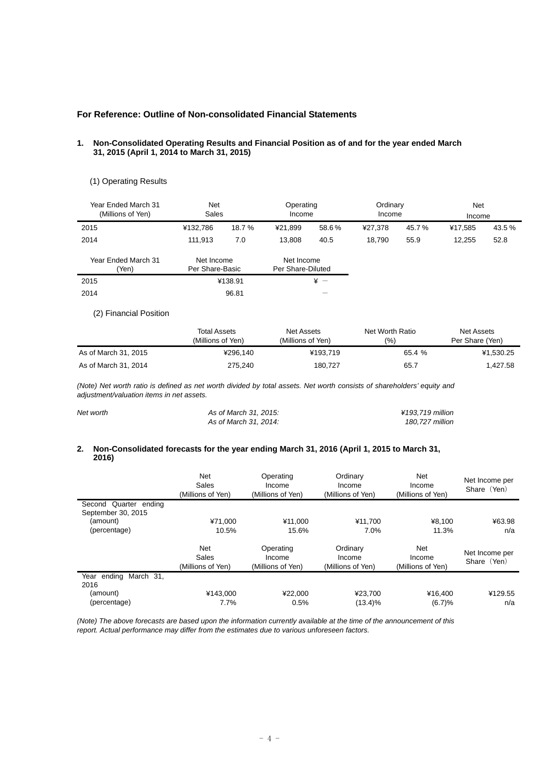## **For Reference: Outline of Non-consolidated Financial Statements**

#### **1. Non-Consolidated Operating Results and Financial Position as of and for the year ended March 31, 2015 (April 1, 2014 to March 31, 2015)**

### (1) Operating Results

| Year Ended March 31<br>(Millions of Yen) | <b>Net</b><br>Sales           |          | Operating<br>Income             |           | Ordinary<br>Income |       | <b>Net</b><br>Income |        |
|------------------------------------------|-------------------------------|----------|---------------------------------|-----------|--------------------|-------|----------------------|--------|
| 2015                                     | ¥132,786                      | 18.7 %   | ¥21.899                         | 58.6%     | ¥27.378            | 45.7% | ¥17.585              | 43.5 % |
| 2014                                     | 111.913                       | 7.0      | 13.808                          | 40.5      | 18.790             | 55.9  | 12.255               | 52.8   |
| Year Ended March 31<br>(Yen)             | Net Income<br>Per Share-Basic |          | Net Income<br>Per Share-Diluted |           |                    |       |                      |        |
| $\sim$ $\sim$ $\sim$                     |                               | $\cdots$ |                                 | $\lambda$ |                    |       |                      |        |

| 2015 | ¥138.91 |                 |
|------|---------|-----------------|
| 2014 | 96.81   | $\qquad \qquad$ |

## (2) Financial Position

|                      | Total Assets      | Net Assets        | Net Worth Ratio | Net Assets      |
|----------------------|-------------------|-------------------|-----------------|-----------------|
|                      | (Millions of Yen) | (Millions of Yen) | (9/0)           | Per Share (Yen) |
| As of March 31, 2015 | ¥296.140          | ¥193.719          | 65.4 %          | ¥1.530.25       |
| As of March 31, 2014 | 275,240           | 180.727           | 65.7            | 1.427.58        |

*(Note) Net worth ratio is defined as net worth divided by total assets. Net worth consists of shareholders' equity and adjustment/valuation items in net assets.* 

| Net worth | As of March 31, 2015: | ¥193.719 million |
|-----------|-----------------------|------------------|
|           | As of March 31, 2014: | 180.727 million  |

#### **2. Non-Consolidated forecasts for the year ending March 31, 2016 (April 1, 2015 to March 31, 2016)**

|                                             | <b>Net</b><br>Sales<br>(Millions of Yen) | Operating<br>Income<br>(Millions of Yen) | Ordinary<br>Income<br>(Millions of Yen) | <b>Net</b><br>Income<br>(Millions of Yen) | Net Income per<br>Share (Yen) |
|---------------------------------------------|------------------------------------------|------------------------------------------|-----------------------------------------|-------------------------------------------|-------------------------------|
| Second Quarter ending<br>September 30, 2015 |                                          |                                          |                                         |                                           |                               |
| (amount)                                    | ¥71.000                                  | ¥11.000                                  | ¥11.700                                 | ¥8.100                                    | ¥63.98                        |
| (percentage)                                | 10.5%                                    | 15.6%                                    | 7.0%                                    | 11.3%                                     | n/a                           |
|                                             | <b>Net</b><br>Sales<br>(Millions of Yen) | Operating<br>Income<br>(Millions of Yen) | Ordinary<br>Income<br>(Millions of Yen) | Net<br>Income<br>(Millions of Yen)        | Net Income per<br>Share (Yen) |
| March 31,<br>Year ending<br>2016            |                                          |                                          |                                         |                                           |                               |
| (amount)                                    | ¥143.000                                 | ¥22.000                                  | ¥23,700                                 | ¥16,400                                   | ¥129.55                       |
| (percentage)                                | 7.7%                                     | 0.5%                                     | $(13.4)\%$                              | (6.7)%                                    | n/a                           |

*(Note) The above forecasts are based upon the information currently available at the time of the announcement of this report. Actual performance may differ from the estimates due to various unforeseen factors.*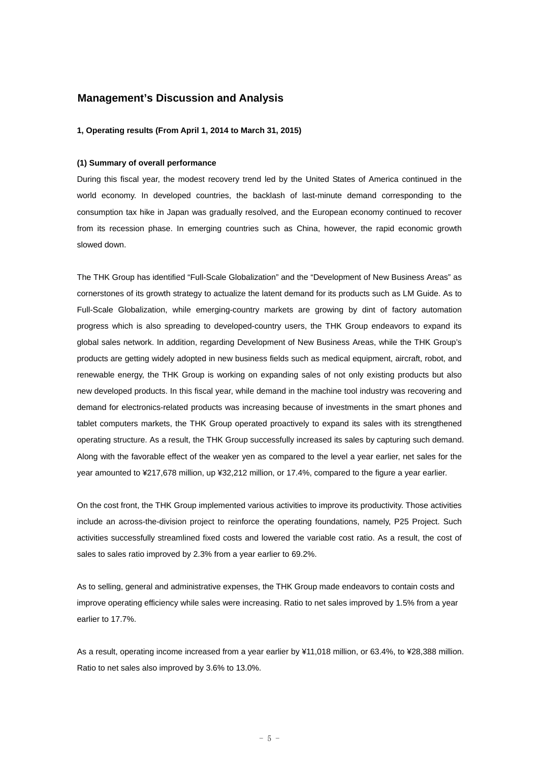# **Management's Discussion and Analysis**

#### **1, Operating results (From April 1, 2014 to March 31, 2015)**

#### **(1) Summary of overall performance**

During this fiscal year, the modest recovery trend led by the United States of America continued in the world economy. In developed countries, the backlash of last-minute demand corresponding to the consumption tax hike in Japan was gradually resolved, and the European economy continued to recover from its recession phase. In emerging countries such as China, however, the rapid economic growth slowed down.

The THK Group has identified "Full-Scale Globalization" and the "Development of New Business Areas" as cornerstones of its growth strategy to actualize the latent demand for its products such as LM Guide. As to Full-Scale Globalization, while emerging-country markets are growing by dint of factory automation progress which is also spreading to developed-country users, the THK Group endeavors to expand its global sales network. In addition, regarding Development of New Business Areas, while the THK Group's products are getting widely adopted in new business fields such as medical equipment, aircraft, robot, and renewable energy, the THK Group is working on expanding sales of not only existing products but also new developed products. In this fiscal year, while demand in the machine tool industry was recovering and demand for electronics-related products was increasing because of investments in the smart phones and tablet computers markets, the THK Group operated proactively to expand its sales with its strengthened operating structure. As a result, the THK Group successfully increased its sales by capturing such demand. Along with the favorable effect of the weaker yen as compared to the level a year earlier, net sales for the year amounted to ¥217,678 million, up ¥32,212 million, or 17.4%, compared to the figure a year earlier.

On the cost front, the THK Group implemented various activities to improve its productivity. Those activities include an across-the-division project to reinforce the operating foundations, namely, P25 Project. Such activities successfully streamlined fixed costs and lowered the variable cost ratio. As a result, the cost of sales to sales ratio improved by 2.3% from a year earlier to 69.2%.

As to selling, general and administrative expenses, the THK Group made endeavors to contain costs and improve operating efficiency while sales were increasing. Ratio to net sales improved by 1.5% from a year earlier to 17.7%.

As a result, operating income increased from a year earlier by ¥11,018 million, or 63.4%, to ¥28,388 million. Ratio to net sales also improved by 3.6% to 13.0%.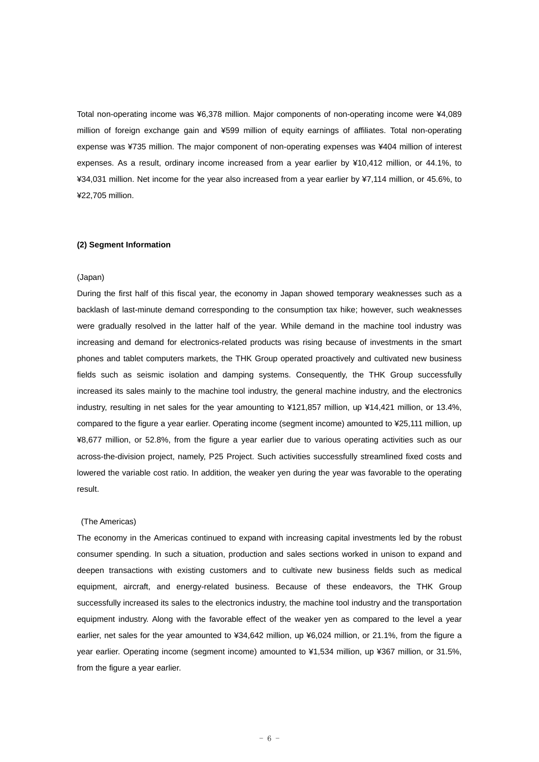Total non-operating income was ¥6,378 million. Major components of non-operating income were ¥4,089 million of foreign exchange gain and ¥599 million of equity earnings of affiliates. Total non-operating expense was ¥735 million. The major component of non-operating expenses was ¥404 million of interest expenses. As a result, ordinary income increased from a year earlier by ¥10,412 million, or 44.1%, to ¥34,031 million. Net income for the year also increased from a year earlier by ¥7,114 million, or 45.6%, to ¥22,705 million.

#### **(2) Segment Information**

#### (Japan)

During the first half of this fiscal year, the economy in Japan showed temporary weaknesses such as a backlash of last-minute demand corresponding to the consumption tax hike; however, such weaknesses were gradually resolved in the latter half of the year. While demand in the machine tool industry was increasing and demand for electronics-related products was rising because of investments in the smart phones and tablet computers markets, the THK Group operated proactively and cultivated new business fields such as seismic isolation and damping systems. Consequently, the THK Group successfully increased its sales mainly to the machine tool industry, the general machine industry, and the electronics industry, resulting in net sales for the year amounting to ¥121,857 million, up ¥14,421 million, or 13.4%, compared to the figure a year earlier. Operating income (segment income) amounted to ¥25,111 million, up ¥8,677 million, or 52.8%, from the figure a year earlier due to various operating activities such as our across-the-division project, namely, P25 Project. Such activities successfully streamlined fixed costs and lowered the variable cost ratio. In addition, the weaker yen during the year was favorable to the operating result.

#### (The Americas)

The economy in the Americas continued to expand with increasing capital investments led by the robust consumer spending. In such a situation, production and sales sections worked in unison to expand and deepen transactions with existing customers and to cultivate new business fields such as medical equipment, aircraft, and energy-related business. Because of these endeavors, the THK Group successfully increased its sales to the electronics industry, the machine tool industry and the transportation equipment industry. Along with the favorable effect of the weaker yen as compared to the level a year earlier, net sales for the year amounted to ¥34,642 million, up ¥6,024 million, or 21.1%, from the figure a year earlier. Operating income (segment income) amounted to ¥1,534 million, up ¥367 million, or 31.5%, from the figure a year earlier.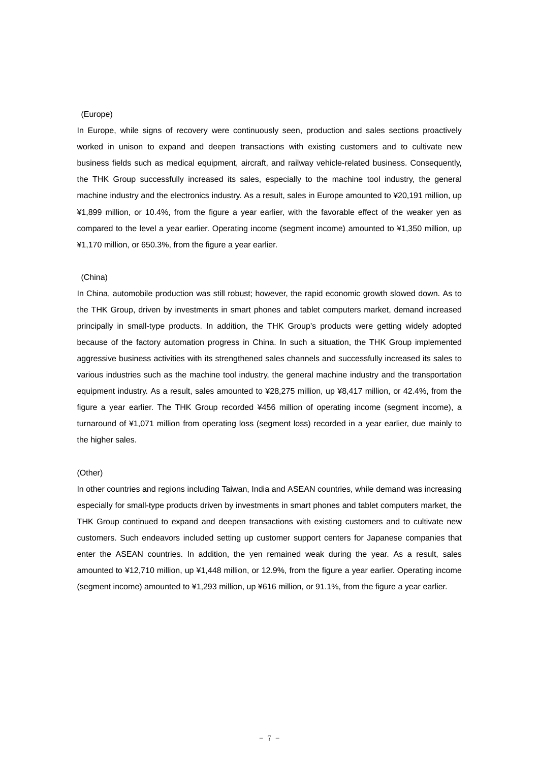### (Europe)

In Europe, while signs of recovery were continuously seen, production and sales sections proactively worked in unison to expand and deepen transactions with existing customers and to cultivate new business fields such as medical equipment, aircraft, and railway vehicle-related business. Consequently, the THK Group successfully increased its sales, especially to the machine tool industry, the general machine industry and the electronics industry. As a result, sales in Europe amounted to ¥20,191 million, up ¥1,899 million, or 10.4%, from the figure a year earlier, with the favorable effect of the weaker yen as compared to the level a year earlier. Operating income (segment income) amounted to ¥1,350 million, up ¥1,170 million, or 650.3%, from the figure a year earlier.

#### (China)

In China, automobile production was still robust; however, the rapid economic growth slowed down. As to the THK Group, driven by investments in smart phones and tablet computers market, demand increased principally in small-type products. In addition, the THK Group's products were getting widely adopted because of the factory automation progress in China. In such a situation, the THK Group implemented aggressive business activities with its strengthened sales channels and successfully increased its sales to various industries such as the machine tool industry, the general machine industry and the transportation equipment industry. As a result, sales amounted to ¥28,275 million, up ¥8,417 million, or 42.4%, from the figure a year earlier. The THK Group recorded ¥456 million of operating income (segment income), a turnaround of ¥1,071 million from operating loss (segment loss) recorded in a year earlier, due mainly to the higher sales.

# (Other)

In other countries and regions including Taiwan, India and ASEAN countries, while demand was increasing especially for small-type products driven by investments in smart phones and tablet computers market, the THK Group continued to expand and deepen transactions with existing customers and to cultivate new customers. Such endeavors included setting up customer support centers for Japanese companies that enter the ASEAN countries. In addition, the yen remained weak during the year. As a result, sales amounted to ¥12,710 million, up ¥1,448 million, or 12.9%, from the figure a year earlier. Operating income (segment income) amounted to ¥1,293 million, up ¥616 million, or 91.1%, from the figure a year earlier.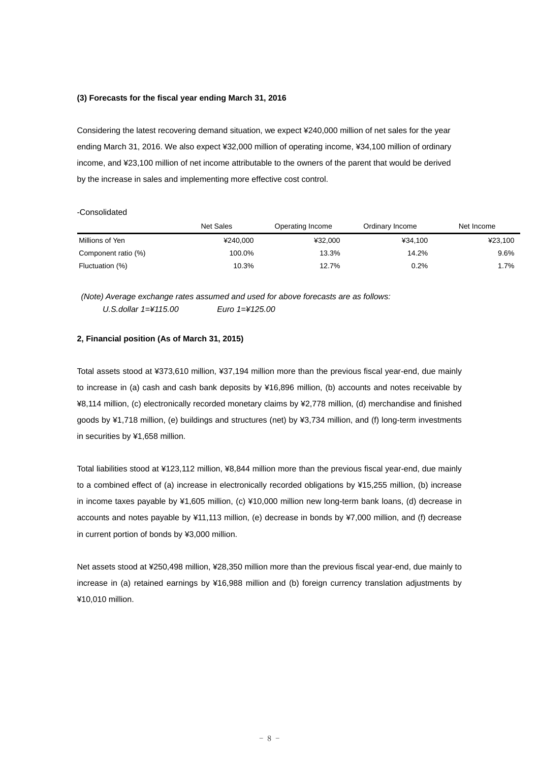#### **(3) Forecasts for the fiscal year ending March 31, 2016**

Considering the latest recovering demand situation, we expect ¥240,000 million of net sales for the year ending March 31, 2016. We also expect ¥32,000 million of operating income, ¥34,100 million of ordinary income, and ¥23,100 million of net income attributable to the owners of the parent that would be derived by the increase in sales and implementing more effective cost control.

#### -Consolidated

|                     | Net Sales | Operating Income | Ordinary Income | Net Income |
|---------------------|-----------|------------------|-----------------|------------|
| Millions of Yen     | ¥240.000  | ¥32.000          | ¥34.100         | ¥23.100    |
| Component ratio (%) | 100.0%    | 13.3%            | 14.2%           | 9.6%       |
| Fluctuation (%)     | 10.3%     | 12.7%            | 0.2%            | 1.7%       |

 *(Note) Average exchange rates assumed and used for above forecasts are as follows: U.S.dollar 1=¥115.00 Euro 1=¥125.00* 

#### **2, Financial position (As of March 31, 2015)**

Total assets stood at ¥373,610 million, ¥37,194 million more than the previous fiscal year-end, due mainly to increase in (a) cash and cash bank deposits by ¥16,896 million, (b) accounts and notes receivable by ¥8,114 million, (c) electronically recorded monetary claims by ¥2,778 million, (d) merchandise and finished goods by ¥1,718 million, (e) buildings and structures (net) by ¥3,734 million, and (f) long-term investments in securities by ¥1,658 million.

Total liabilities stood at ¥123,112 million, ¥8,844 million more than the previous fiscal year-end, due mainly to a combined effect of (a) increase in electronically recorded obligations by ¥15,255 million, (b) increase in income taxes payable by ¥1,605 million, (c) ¥10,000 million new long-term bank loans, (d) decrease in accounts and notes payable by ¥11,113 million, (e) decrease in bonds by ¥7,000 million, and (f) decrease in current portion of bonds by ¥3,000 million.

Net assets stood at ¥250,498 million, ¥28,350 million more than the previous fiscal year-end, due mainly to increase in (a) retained earnings by ¥16,988 million and (b) foreign currency translation adjustments by ¥10,010 million.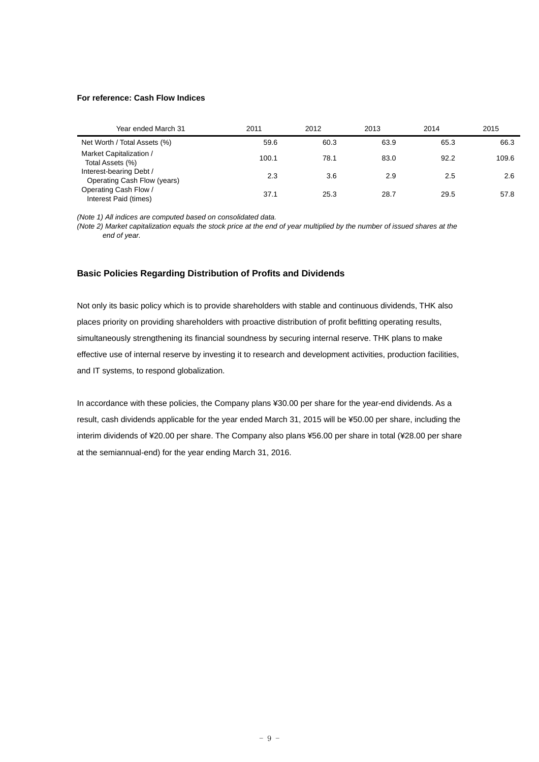#### **For reference: Cash Flow Indices**

| Year ended March 31                                    | 2011  | 2012 | 2013 | 2014 | 2015  |
|--------------------------------------------------------|-------|------|------|------|-------|
| Net Worth / Total Assets (%)                           | 59.6  | 60.3 | 63.9 | 65.3 | 66.3  |
| Market Capitalization /<br>Total Assets (%)            | 100.1 | 78.1 | 83.0 | 92.2 | 109.6 |
| Interest-bearing Debt /<br>Operating Cash Flow (years) | 2.3   | 3.6  | 2.9  | 2.5  | 2.6   |
| Operating Cash Flow /<br>Interest Paid (times)         | 37.1  | 25.3 | 28.7 | 29.5 | 57.8  |

*(Note 1) All indices are computed based on consolidated data.* 

*(Note 2) Market capitalization equals the stock price at the end of year multiplied by the number of issued shares at the end of year.* 

## **Basic Policies Regarding Distribution of Profits and Dividends**

Not only its basic policy which is to provide shareholders with stable and continuous dividends, THK also places priority on providing shareholders with proactive distribution of profit befitting operating results, simultaneously strengthening its financial soundness by securing internal reserve. THK plans to make effective use of internal reserve by investing it to research and development activities, production facilities, and IT systems, to respond globalization.

In accordance with these policies, the Company plans ¥30.00 per share for the year-end dividends. As a result, cash dividends applicable for the year ended March 31, 2015 will be ¥50.00 per share, including the interim dividends of ¥20.00 per share. The Company also plans ¥56.00 per share in total (¥28.00 per share at the semiannual-end) for the year ending March 31, 2016.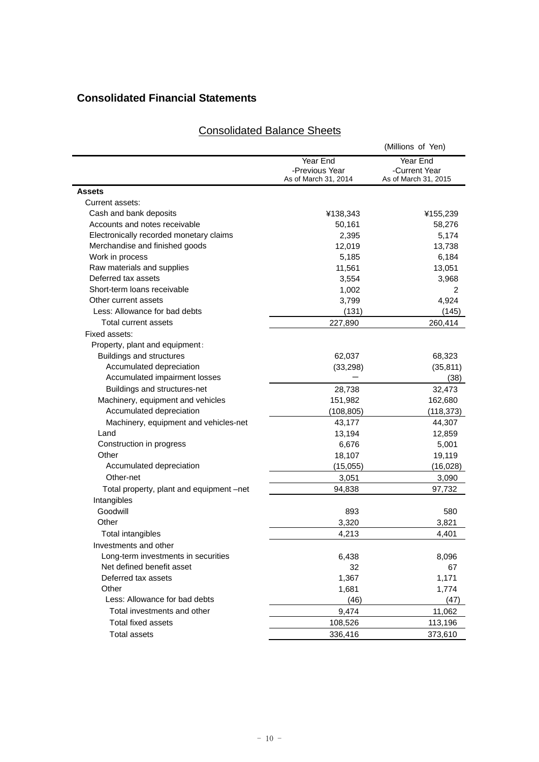# **Consolidated Financial Statements**

# Consolidated Balance Sheets

|                                          |                      | (Millions of Yen)    |
|------------------------------------------|----------------------|----------------------|
|                                          | Year End             | Year End             |
|                                          | -Previous Year       | -Current Year        |
|                                          | As of March 31, 2014 | As of March 31, 2015 |
| <b>Assets</b>                            |                      |                      |
| Current assets:                          |                      |                      |
| Cash and bank deposits                   | ¥138,343             | ¥155,239             |
| Accounts and notes receivable            | 50,161               | 58,276               |
| Electronically recorded monetary claims  | 2,395                | 5,174                |
| Merchandise and finished goods           | 12,019               | 13,738               |
| Work in process                          | 5,185                | 6,184                |
| Raw materials and supplies               | 11,561               | 13,051               |
| Deferred tax assets                      | 3,554                | 3,968                |
| Short-term loans receivable              | 1,002                | 2                    |
| Other current assets                     | 3,799                | 4,924                |
| Less: Allowance for bad debts            | (131)                | (145)                |
| Total current assets                     | 227,890              | 260,414              |
| Fixed assets:                            |                      |                      |
| Property, plant and equipment:           |                      |                      |
| Buildings and structures                 | 62,037               | 68,323               |
| Accumulated depreciation                 | (33, 298)            | (35, 811)            |
| Accumulated impairment losses            |                      | (38)                 |
| Buildings and structures-net             | 28,738               | 32,473               |
| Machinery, equipment and vehicles        | 151,982              | 162,680              |
| Accumulated depreciation                 | (108,805)            | (118, 373)           |
| Machinery, equipment and vehicles-net    | 43,177               | 44,307               |
| Land                                     | 13,194               | 12,859               |
| Construction in progress                 | 6,676                | 5,001                |
| Other                                    | 18,107               | 19,119               |
| Accumulated depreciation                 | (15,055)             | (16, 028)            |
| Other-net                                | 3,051                | 3,090                |
| Total property, plant and equipment –net | 94,838               | 97,732               |
| Intangibles                              |                      |                      |
| Goodwill                                 | 893                  | 580                  |
| Other                                    | 3,320                | 3,821                |
| Total intangibles                        | 4,213                | 4,401                |
| Investments and other                    |                      |                      |
| Long-term investments in securities      | 6,438                | 8,096                |
| Net defined benefit asset                | 32                   | 67                   |
| Deferred tax assets                      | 1,367                | 1,171                |
| Other                                    | 1,681                | 1,774                |
| Less: Allowance for bad debts            | (46)                 | (47)                 |
| Total investments and other              | 9,474                | 11,062               |
| Total fixed assets                       | 108,526              | 113,196              |
| <b>Total assets</b>                      | 336,416              | 373,610              |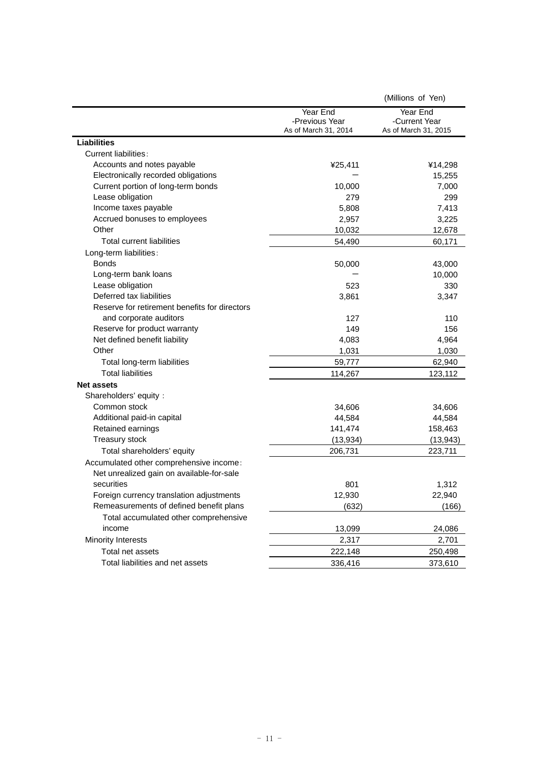|                                               |                      | (Millions of Yen)    |
|-----------------------------------------------|----------------------|----------------------|
|                                               | Year End             | Year End             |
|                                               | -Previous Year       | -Current Year        |
|                                               | As of March 31, 2014 | As of March 31, 2015 |
| <b>Liabilities</b>                            |                      |                      |
| <b>Current liabilities:</b>                   |                      |                      |
| Accounts and notes payable                    | ¥25,411              | ¥14,298              |
| Electronically recorded obligations           |                      | 15,255               |
| Current portion of long-term bonds            | 10,000               | 7,000                |
| Lease obligation                              | 279                  | 299                  |
| Income taxes payable                          | 5,808                | 7,413                |
| Accrued bonuses to employees<br>Other         | 2,957                | 3,225                |
| <b>Total current liabilities</b>              | 10,032               | 12,678               |
|                                               | 54,490               | 60,171               |
| Long-term liabilities:<br><b>Bonds</b>        |                      |                      |
|                                               | 50,000               | 43,000               |
| Long-term bank loans                          |                      | 10,000               |
| Lease obligation<br>Deferred tax liabilities  | 523                  | 330                  |
| Reserve for retirement benefits for directors | 3,861                | 3,347                |
| and corporate auditors                        | 127                  | 110                  |
| Reserve for product warranty                  | 149                  | 156                  |
| Net defined benefit liability                 | 4,083                | 4,964                |
| Other                                         | 1,031                | 1,030                |
| Total long-term liabilities                   | 59,777               | 62,940               |
| <b>Total liabilities</b>                      | 114,267              | 123,112              |
|                                               |                      |                      |
| <b>Net assets</b><br>Shareholders' equity :   |                      |                      |
| Common stock                                  |                      |                      |
| Additional paid-in capital                    | 34,606<br>44,584     | 34,606<br>44,584     |
| Retained earnings                             | 141,474              | 158,463              |
| Treasury stock                                | (13, 934)            | (13, 943)            |
| Total shareholders' equity                    | 206,731              | 223,711              |
| Accumulated other comprehensive income:       |                      |                      |
| Net unrealized gain on available-for-sale     |                      |                      |
| securities                                    | 801                  | 1,312                |
| Foreign currency translation adjustments      | 12,930               | 22,940               |
| Remeasurements of defined benefit plans       | (632)                | (166)                |
| Total accumulated other comprehensive         |                      |                      |
| income                                        | 13,099               | 24,086               |
| <b>Minority Interests</b>                     | 2,317                | 2,701                |
| Total net assets                              |                      |                      |
| Total liabilities and net assets              | 222,148              | 250,498              |
|                                               | 336,416              | 373,610              |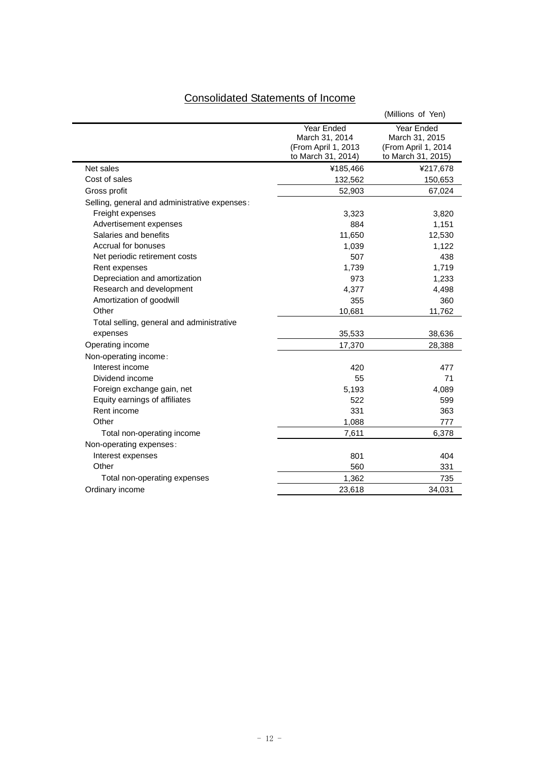| <b>Consolidated Statements of Income</b> |
|------------------------------------------|
|------------------------------------------|

|                                               |                                                                           | (Millions of Yen)                                                         |
|-----------------------------------------------|---------------------------------------------------------------------------|---------------------------------------------------------------------------|
|                                               | Year Ended<br>March 31, 2014<br>(From April 1, 2013<br>to March 31, 2014) | Year Ended<br>March 31, 2015<br>(From April 1, 2014<br>to March 31, 2015) |
| Net sales                                     | ¥185,466                                                                  | ¥217,678                                                                  |
| Cost of sales                                 | 132,562                                                                   | 150,653                                                                   |
| Gross profit                                  | 52,903                                                                    | 67,024                                                                    |
| Selling, general and administrative expenses: |                                                                           |                                                                           |
| Freight expenses                              | 3,323                                                                     | 3,820                                                                     |
| Advertisement expenses                        | 884                                                                       | 1,151                                                                     |
| Salaries and benefits                         | 11,650                                                                    | 12,530                                                                    |
| Accrual for bonuses                           | 1,039                                                                     | 1,122                                                                     |
| Net periodic retirement costs                 | 507                                                                       | 438                                                                       |
| Rent expenses                                 | 1,739                                                                     | 1,719                                                                     |
| Depreciation and amortization                 | 973                                                                       | 1,233                                                                     |
| Research and development                      | 4,377                                                                     | 4,498                                                                     |
| Amortization of goodwill                      | 355                                                                       | 360                                                                       |
| Other                                         | 10,681                                                                    | 11,762                                                                    |
| Total selling, general and administrative     |                                                                           |                                                                           |
| expenses                                      | 35,533                                                                    | 38,636                                                                    |
| Operating income                              | 17,370                                                                    | 28,388                                                                    |
| Non-operating income:                         |                                                                           |                                                                           |
| Interest income                               | 420                                                                       | 477                                                                       |
| Dividend income                               | 55                                                                        | 71                                                                        |
| Foreign exchange gain, net                    | 5,193                                                                     | 4,089                                                                     |
| Equity earnings of affiliates                 | 522                                                                       | 599                                                                       |
| Rent income                                   | 331                                                                       | 363                                                                       |
| Other                                         | 1,088                                                                     | 777                                                                       |
| Total non-operating income                    | 7,611                                                                     | 6,378                                                                     |
| Non-operating expenses:                       |                                                                           |                                                                           |
| Interest expenses                             | 801                                                                       | 404                                                                       |
| Other                                         | 560                                                                       | 331                                                                       |
| Total non-operating expenses                  | 1,362                                                                     | 735                                                                       |
| Ordinary income                               | 23,618                                                                    | 34,031                                                                    |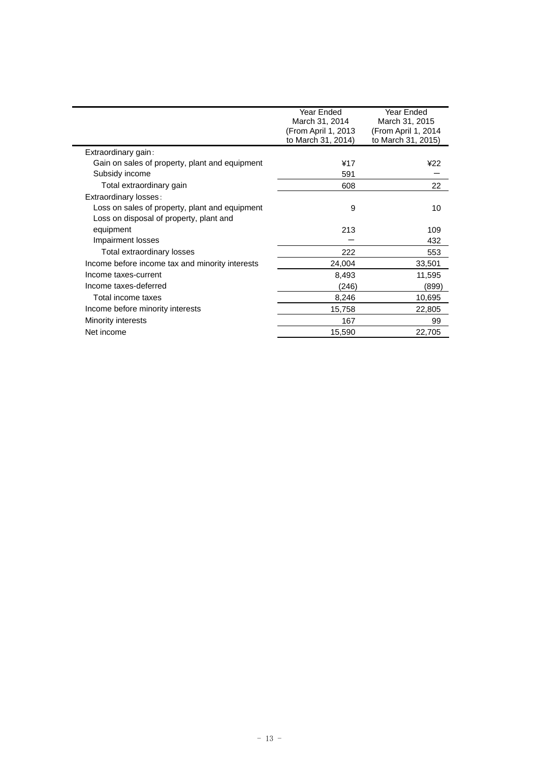|                                                 | Year Ended<br>March 31, 2014<br>(From April 1, 2013<br>to March 31, 2014) | Year Ended<br>March 31, 2015<br>(From April 1, 2014<br>to March 31, 2015) |
|-------------------------------------------------|---------------------------------------------------------------------------|---------------------------------------------------------------------------|
| Extraordinary gain:                             |                                                                           |                                                                           |
| Gain on sales of property, plant and equipment  | ¥17                                                                       | ¥22                                                                       |
| Subsidy income                                  | 591                                                                       |                                                                           |
| Total extraordinary gain                        | 608                                                                       | 22                                                                        |
| Extraordinary losses:                           |                                                                           |                                                                           |
| Loss on sales of property, plant and equipment  | 9                                                                         | 10                                                                        |
| Loss on disposal of property, plant and         |                                                                           |                                                                           |
| equipment                                       | 213                                                                       | 109                                                                       |
| Impairment losses                               |                                                                           | 432                                                                       |
| Total extraordinary losses                      | 222                                                                       | 553                                                                       |
| Income before income tax and minority interests | 24,004                                                                    | 33,501                                                                    |
| Income taxes-current                            | 8,493                                                                     | 11,595                                                                    |
| Income taxes-deferred                           | (246)                                                                     | (899)                                                                     |
| Total income taxes                              | 8,246                                                                     | 10,695                                                                    |
| Income before minority interests                | 15,758                                                                    | 22,805                                                                    |
| Minority interests                              | 167                                                                       | 99                                                                        |
| Net income                                      | 15,590                                                                    | 22,705                                                                    |
|                                                 |                                                                           |                                                                           |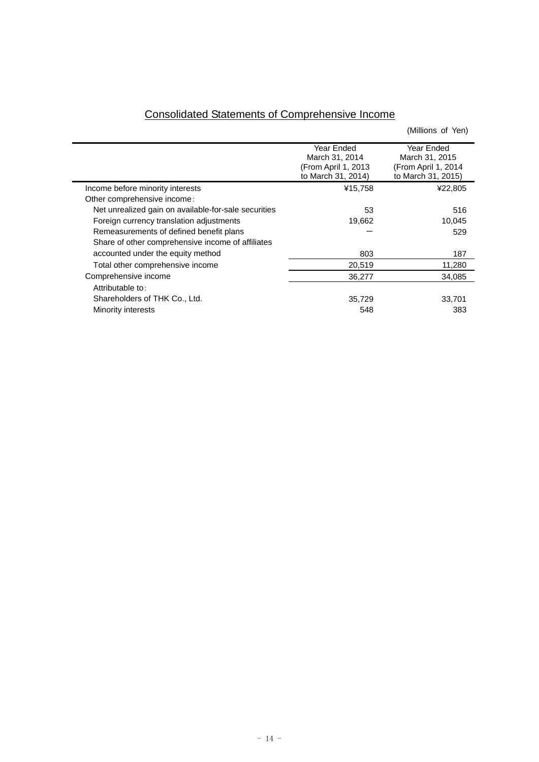| <b>Consolidated Statements of Comprehensive Income</b> |  |  |
|--------------------------------------------------------|--|--|
|                                                        |  |  |

 $\overline{\phantom{0}}$ 

|                | (Millions of Yen)                         |
|----------------|-------------------------------------------|
| Year Ended     | Year Ended                                |
| March 31, 2014 | March 31, 2015                            |
|                | (From April 1, 2014                       |
|                | to March 31, 2015)                        |
| ¥15,758        | ¥22,805                                   |
|                |                                           |
| 53             | 516                                       |
| 19,662         | 10,045                                    |
|                | 529                                       |
|                |                                           |
| 803            | 187                                       |
| 20,519         | 11,280                                    |
| 36,277         | 34.085                                    |
|                |                                           |
| 35,729         | 33,701                                    |
| 548            | 383                                       |
|                | (From April 1, 2013<br>to March 31, 2014) |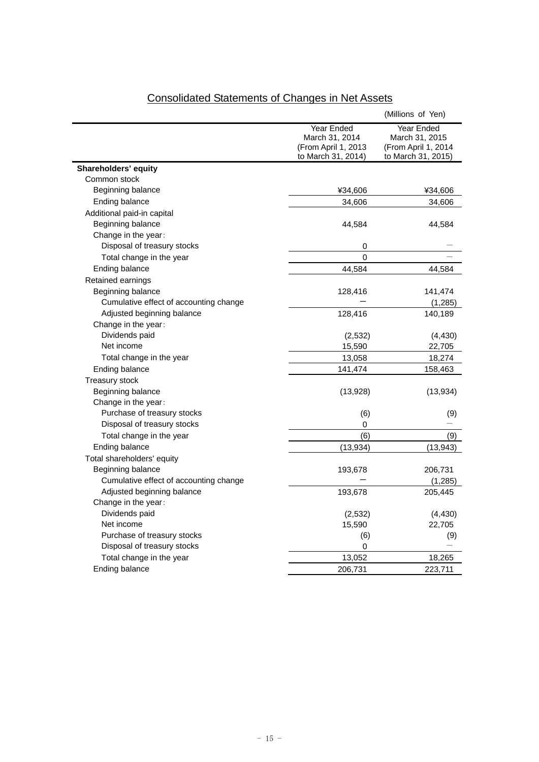|                                        |                     | (Millions of Yen)   |
|----------------------------------------|---------------------|---------------------|
|                                        | Year Ended          | Year Ended          |
|                                        | March 31, 2014      | March 31, 2015      |
|                                        | (From April 1, 2013 | (From April 1, 2014 |
|                                        | to March 31, 2014)  | to March 31, 2015)  |
| Shareholders' equity                   |                     |                     |
| Common stock                           |                     |                     |
| Beginning balance                      | ¥34,606             | ¥34,606             |
| Ending balance                         | 34,606              | 34,606              |
| Additional paid-in capital             |                     |                     |
| Beginning balance                      | 44,584              | 44,584              |
| Change in the year:                    |                     |                     |
| Disposal of treasury stocks            | 0                   |                     |
| Total change in the year               | 0                   |                     |
| Ending balance                         | 44,584              | 44,584              |
| Retained earnings                      |                     |                     |
| Beginning balance                      | 128,416             | 141,474             |
| Cumulative effect of accounting change |                     | (1, 285)            |
| Adjusted beginning balance             | 128,416             | 140,189             |
| Change in the year:                    |                     |                     |
| Dividends paid                         | (2,532)             | (4, 430)            |
| Net income                             | 15,590              | 22,705              |
| Total change in the year               | 13,058              | 18,274              |
| Ending balance                         | 141,474             | 158,463             |
| <b>Treasury stock</b>                  |                     |                     |
| Beginning balance                      | (13,928)            | (13, 934)           |
| Change in the year:                    |                     |                     |
| Purchase of treasury stocks            | (6)                 | (9)                 |
| Disposal of treasury stocks            | 0                   |                     |
| Total change in the year               | (6)                 | (9)                 |
| Ending balance                         | (13, 934)           | (13, 943)           |
| Total shareholders' equity             |                     |                     |
| Beginning balance                      | 193,678             | 206,731             |
| Cumulative effect of accounting change |                     | (1, 285)            |
| Adjusted beginning balance             | 193,678             | 205,445             |
| Change in the year:                    |                     |                     |
| Dividends paid                         | (2, 532)            | (4, 430)            |
| Net income                             | 15,590              | 22,705              |
| Purchase of treasury stocks            | (6)                 | (9)                 |
| Disposal of treasury stocks            | 0                   |                     |
| Total change in the year               | 13,052              | 18,265              |
| Ending balance                         | 206,731             | 223,711             |
|                                        |                     |                     |

# Consolidated Statements of Changes in Net Assets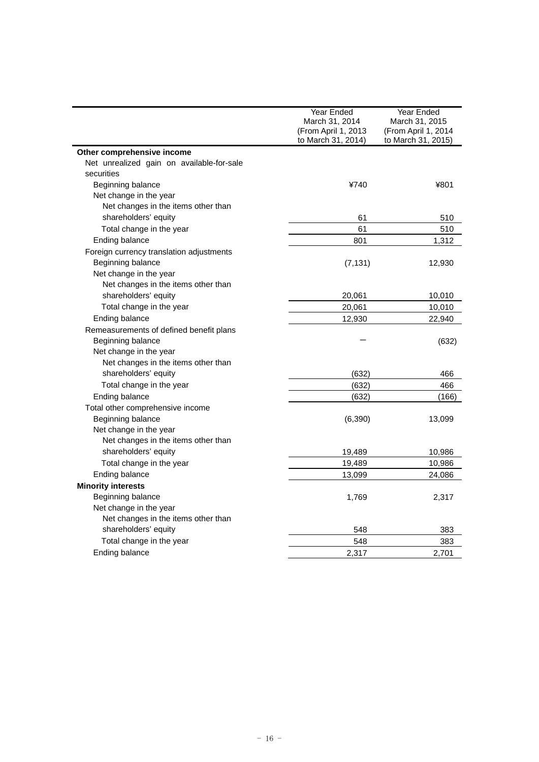|                                           | Year Ended<br>March 31, 2014<br>(From April 1, 2013 | Year Ended<br>March 31, 2015<br>(From April 1, 2014 |
|-------------------------------------------|-----------------------------------------------------|-----------------------------------------------------|
|                                           | to March 31, 2014)                                  | to March 31, 2015)                                  |
| Other comprehensive income                |                                                     |                                                     |
| Net unrealized gain on available-for-sale |                                                     |                                                     |
| securities                                |                                                     |                                                     |
| Beginning balance                         | ¥740                                                | ¥801                                                |
| Net change in the year                    |                                                     |                                                     |
| Net changes in the items other than       |                                                     |                                                     |
| shareholders' equity                      | 61                                                  | 510                                                 |
| Total change in the year                  | 61                                                  | 510                                                 |
| Ending balance                            | 801                                                 | 1,312                                               |
| Foreign currency translation adjustments  |                                                     |                                                     |
| Beginning balance                         | (7, 131)                                            | 12,930                                              |
| Net change in the year                    |                                                     |                                                     |
| Net changes in the items other than       |                                                     |                                                     |
| shareholders' equity                      | 20,061                                              | 10,010                                              |
| Total change in the year                  | 20,061                                              | 10,010                                              |
| Ending balance                            | 12,930                                              | 22,940                                              |
| Remeasurements of defined benefit plans   |                                                     |                                                     |
| Beginning balance                         |                                                     | (632)                                               |
| Net change in the year                    |                                                     |                                                     |
| Net changes in the items other than       |                                                     |                                                     |
| shareholders' equity                      | (632)                                               | 466                                                 |
| Total change in the year                  | (632)                                               | 466                                                 |
| Ending balance                            | (632)                                               | (166)                                               |
| Total other comprehensive income          |                                                     |                                                     |
| Beginning balance                         | (6, 390)                                            | 13,099                                              |
| Net change in the year                    |                                                     |                                                     |
| Net changes in the items other than       |                                                     |                                                     |
| shareholders' equity                      | 19,489                                              | 10,986                                              |
| Total change in the year                  | 19,489                                              | 10,986                                              |
| Ending balance                            | 13,099                                              | 24,086                                              |
| <b>Minority interests</b>                 |                                                     |                                                     |
| Beginning balance                         | 1,769                                               | 2,317                                               |
| Net change in the year                    |                                                     |                                                     |
| Net changes in the items other than       |                                                     |                                                     |
| shareholders' equity                      | 548                                                 | 383                                                 |
| Total change in the year                  | 548                                                 | 383                                                 |
| Ending balance                            | 2,317                                               | 2,701                                               |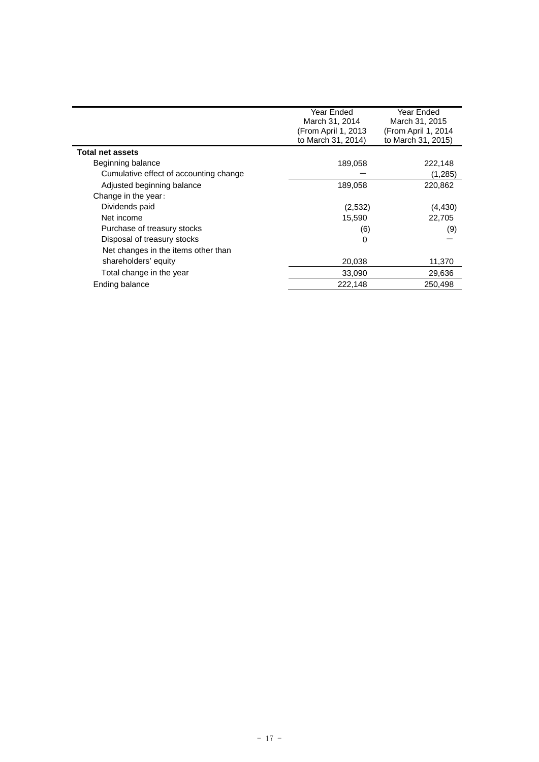|                                        | Year Ended<br>March 31, 2014<br>(From April 1, 2013<br>to March 31, 2014) | Year Ended<br>March 31, 2015<br>(From April 1, 2014<br>to March 31, 2015) |
|----------------------------------------|---------------------------------------------------------------------------|---------------------------------------------------------------------------|
| <b>Total net assets</b>                |                                                                           |                                                                           |
| Beginning balance                      | 189,058                                                                   | 222,148                                                                   |
| Cumulative effect of accounting change |                                                                           | (1,285)                                                                   |
| Adjusted beginning balance             | 189,058                                                                   | 220,862                                                                   |
| Change in the year:                    |                                                                           |                                                                           |
| Dividends paid                         | (2,532)                                                                   | (4, 430)                                                                  |
| Net income                             | 15,590                                                                    | 22,705                                                                    |
| Purchase of treasury stocks            | (6)                                                                       | (9)                                                                       |
| Disposal of treasury stocks            | 0                                                                         |                                                                           |
| Net changes in the items other than    |                                                                           |                                                                           |
| shareholders' equity                   | 20,038                                                                    | 11,370                                                                    |
| Total change in the year               | 33,090                                                                    | 29,636                                                                    |
| Ending balance                         | 222,148                                                                   | 250.498                                                                   |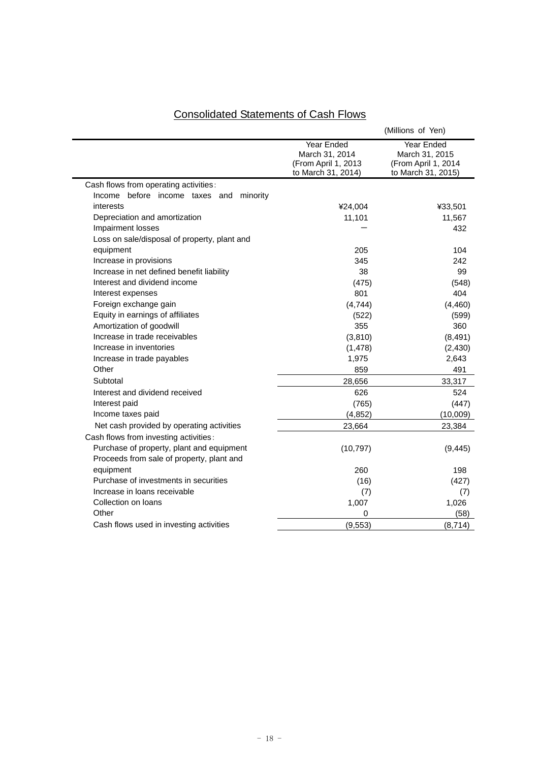| <b>Consolidated Statements of Cash Flows</b> |
|----------------------------------------------|
|----------------------------------------------|

|                                              |                                                                           | (Millions of Yen)                                                         |
|----------------------------------------------|---------------------------------------------------------------------------|---------------------------------------------------------------------------|
|                                              | Year Ended<br>March 31, 2014<br>(From April 1, 2013<br>to March 31, 2014) | Year Ended<br>March 31, 2015<br>(From April 1, 2014<br>to March 31, 2015) |
| Cash flows from operating activities:        |                                                                           |                                                                           |
| Income before income taxes and minority      |                                                                           |                                                                           |
| interests                                    | ¥24,004                                                                   | ¥33,501                                                                   |
| Depreciation and amortization                | 11,101                                                                    | 11,567                                                                    |
| Impairment losses                            |                                                                           | 432                                                                       |
| Loss on sale/disposal of property, plant and |                                                                           |                                                                           |
| equipment                                    | 205                                                                       | 104                                                                       |
| Increase in provisions                       | 345                                                                       | 242                                                                       |
| Increase in net defined benefit liability    | 38                                                                        | 99                                                                        |
| Interest and dividend income                 | (475)                                                                     | (548)                                                                     |
| Interest expenses                            | 801                                                                       | 404                                                                       |
| Foreign exchange gain                        | (4,744)                                                                   | (4, 460)                                                                  |
| Equity in earnings of affiliates             | (522)                                                                     | (599)                                                                     |
| Amortization of goodwill                     | 355                                                                       | 360                                                                       |
| Increase in trade receivables                | (3,810)                                                                   | (8, 491)                                                                  |
| Increase in inventories                      | (1, 478)                                                                  | (2, 430)                                                                  |
| Increase in trade payables                   | 1,975                                                                     | 2,643                                                                     |
| Other                                        | 859                                                                       | 491                                                                       |
| Subtotal                                     | 28,656                                                                    | 33,317                                                                    |
| Interest and dividend received               | 626                                                                       | 524                                                                       |
| Interest paid                                | (765)                                                                     | (447)                                                                     |
| Income taxes paid                            | (4, 852)                                                                  | (10,009)                                                                  |
| Net cash provided by operating activities    | 23,664                                                                    | 23,384                                                                    |
| Cash flows from investing activities:        |                                                                           |                                                                           |
| Purchase of property, plant and equipment    | (10, 797)                                                                 | (9, 445)                                                                  |
| Proceeds from sale of property, plant and    |                                                                           |                                                                           |
| equipment                                    | 260                                                                       | 198                                                                       |
| Purchase of investments in securities        | (16)                                                                      | (427)                                                                     |
| Increase in loans receivable                 | (7)                                                                       | (7)                                                                       |
| Collection on loans                          | 1,007                                                                     | 1,026                                                                     |
| Other                                        | 0                                                                         | (58)                                                                      |
| Cash flows used in investing activities      | (9, 553)                                                                  | (8,714)                                                                   |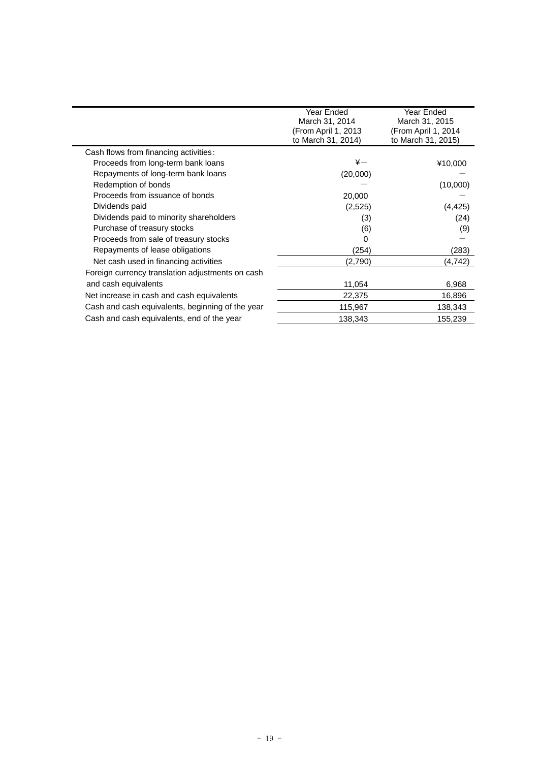|                                                  | Year Ended<br>March 31, 2014<br>(From April 1, 2013<br>to March 31, 2014) | Year Ended<br>March 31, 2015<br>(From April 1, 2014<br>to March 31, 2015) |
|--------------------------------------------------|---------------------------------------------------------------------------|---------------------------------------------------------------------------|
| Cash flows from financing activities:            |                                                                           |                                                                           |
| Proceeds from long-term bank loans               | $\ddot{x}-$                                                               | ¥10,000                                                                   |
| Repayments of long-term bank loans               | (20,000)                                                                  |                                                                           |
| Redemption of bonds                              |                                                                           | (10,000)                                                                  |
| Proceeds from issuance of bonds                  | 20,000                                                                    |                                                                           |
| Dividends paid                                   | (2,525)                                                                   | (4, 425)                                                                  |
| Dividends paid to minority shareholders          | (3)                                                                       | (24)                                                                      |
| Purchase of treasury stocks                      | (6)                                                                       | (9)                                                                       |
| Proceeds from sale of treasury stocks            | 0                                                                         |                                                                           |
| Repayments of lease obligations                  | (254)                                                                     | (283)                                                                     |
| Net cash used in financing activities            | (2,790)                                                                   | (4,742)                                                                   |
| Foreign currency translation adjustments on cash |                                                                           |                                                                           |
| and cash equivalents                             | 11,054                                                                    | 6,968                                                                     |
| Net increase in cash and cash equivalents        | 22,375                                                                    | 16,896                                                                    |
| Cash and cash equivalents, beginning of the year | 115,967                                                                   | 138,343                                                                   |
| Cash and cash equivalents, end of the year       | 138,343                                                                   | 155,239                                                                   |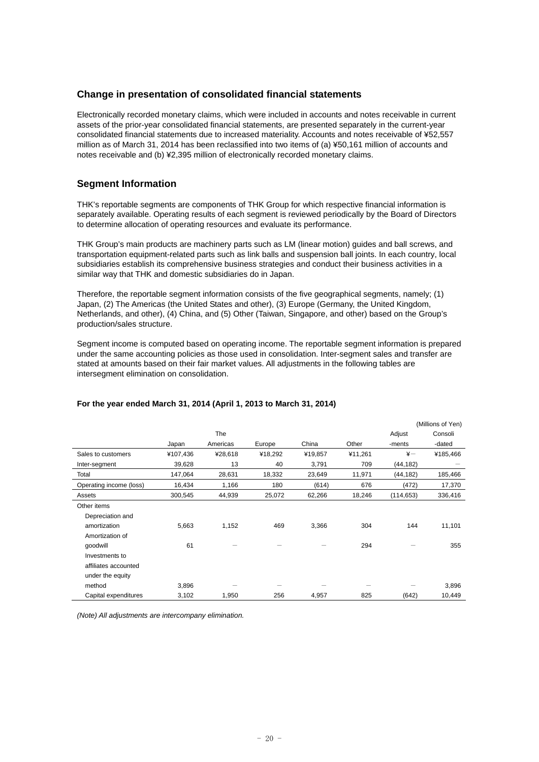# **Change in presentation of consolidated financial statements**

Electronically recorded monetary claims, which were included in accounts and notes receivable in current assets of the prior-year consolidated financial statements, are presented separately in the current-year consolidated financial statements due to increased materiality. Accounts and notes receivable of ¥52,557 million as of March 31, 2014 has been reclassified into two items of (a) ¥50,161 million of accounts and notes receivable and (b) ¥2,395 million of electronically recorded monetary claims.

# **Segment Information**

THK's reportable segments are components of THK Group for which respective financial information is separately available. Operating results of each segment is reviewed periodically by the Board of Directors to determine allocation of operating resources and evaluate its performance.

THK Group's main products are machinery parts such as LM (linear motion) guides and ball screws, and transportation equipment-related parts such as link balls and suspension ball joints. In each country, local subsidiaries establish its comprehensive business strategies and conduct their business activities in a similar way that THK and domestic subsidiaries do in Japan.

Therefore, the reportable segment information consists of the five geographical segments, namely; (1) Japan, (2) The Americas (the United States and other), (3) Europe (Germany, the United Kingdom, Netherlands, and other), (4) China, and (5) Other (Taiwan, Singapore, and other) based on the Group's production/sales structure.

Segment income is computed based on operating income. The reportable segment information is prepared under the same accounting policies as those used in consolidation. Inter-segment sales and transfer are stated at amounts based on their fair market values. All adjustments in the following tables are intersegment elimination on consolidation.

|                         |          |          |         |         |         |            | (Millions of Yen) |
|-------------------------|----------|----------|---------|---------|---------|------------|-------------------|
|                         |          | The      |         |         |         | Adjust     | Consoli           |
|                         | Japan    | Americas | Europe  | China   | Other   | -ments     | -dated            |
| Sales to customers      | ¥107,436 | ¥28,618  | ¥18,292 | ¥19,857 | ¥11,261 | $\ddot{x}$ | ¥185,466          |
| Inter-segment           | 39,628   | 13       | 40      | 3,791   | 709     | (44, 182)  |                   |
| Total                   | 147,064  | 28,631   | 18,332  | 23,649  | 11,971  | (44, 182)  | 185,466           |
| Operating income (loss) | 16,434   | 1,166    | 180     | (614)   | 676     | (472)      | 17,370            |
| Assets                  | 300,545  | 44,939   | 25,072  | 62,266  | 18,246  | (114, 653) | 336,416           |
| Other items             |          |          |         |         |         |            |                   |
| Depreciation and        |          |          |         |         |         |            |                   |
| amortization            | 5,663    | 1,152    | 469     | 3,366   | 304     | 144        | 11,101            |
| Amortization of         |          |          |         |         |         |            |                   |
| qoodwill                | 61       |          |         |         | 294     |            | 355               |
| Investments to          |          |          |         |         |         |            |                   |
| affiliates accounted    |          |          |         |         |         |            |                   |
| under the equity        |          |          |         |         |         |            |                   |
| method                  | 3,896    |          |         |         |         |            | 3,896             |
| Capital expenditures    | 3,102    | 1,950    | 256     | 4,957   | 825     | (642)      | 10,449            |

# **For the year ended March 31, 2014 (April 1, 2013 to March 31, 2014)**

*(Note) All adjustments are intercompany elimination.*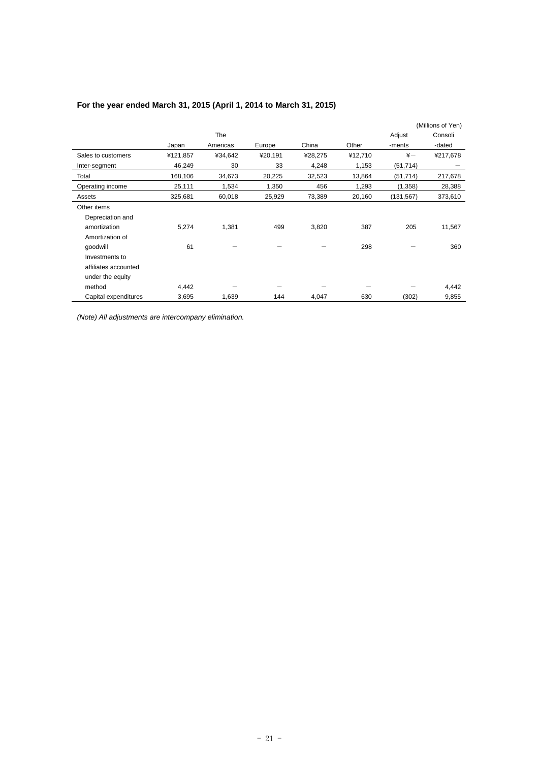|                      |          |          |         |         |         |            | (Millions of Yen) |
|----------------------|----------|----------|---------|---------|---------|------------|-------------------|
|                      |          | The      |         |         |         | Adjust     | Consoli           |
|                      | Japan    | Americas | Europe  | China   | Other   | -ments     | -dated            |
| Sales to customers   | ¥121,857 | ¥34,642  | ¥20,191 | ¥28,275 | ¥12,710 | $\ddot{x}$ | ¥217,678          |
| Inter-segment        | 46,249   | 30       | 33      | 4,248   | 1,153   | (51, 714)  |                   |
| Total                | 168,106  | 34,673   | 20,225  | 32,523  | 13,864  | (51, 714)  | 217,678           |
| Operating income     | 25,111   | 1,534    | 1,350   | 456     | 1,293   | (1,358)    | 28,388            |
| Assets               | 325,681  | 60,018   | 25,929  | 73,389  | 20,160  | (131, 567) | 373,610           |
| Other items          |          |          |         |         |         |            |                   |
| Depreciation and     |          |          |         |         |         |            |                   |
| amortization         | 5,274    | 1,381    | 499     | 3,820   | 387     | 205        | 11,567            |
| Amortization of      |          |          |         |         |         |            |                   |
| qoodwill             | 61       |          |         |         | 298     |            | 360               |
| Investments to       |          |          |         |         |         |            |                   |
| affiliates accounted |          |          |         |         |         |            |                   |
| under the equity     |          |          |         |         |         |            |                   |
| method               | 4,442    |          |         |         |         |            | 4,442             |
| Capital expenditures | 3,695    | 1,639    | 144     | 4,047   | 630     | (302)      | 9,855             |

# **For the year ended March 31, 2015 (April 1, 2014 to March 31, 2015)**

*(Note) All adjustments are intercompany elimination.*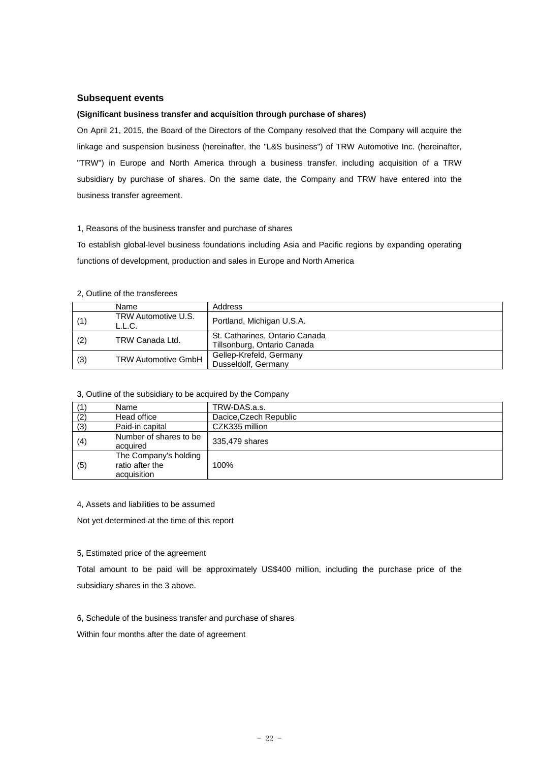### **Subsequent events**

#### **(Significant business transfer and acquisition through purchase of shares)**

On April 21, 2015, the Board of the Directors of the Company resolved that the Company will acquire the linkage and suspension business (hereinafter, the "L&S business") of TRW Automotive Inc. (hereinafter, "TRW") in Europe and North America through a business transfer, including acquisition of a TRW subsidiary by purchase of shares. On the same date, the Company and TRW have entered into the business transfer agreement.

#### 1, Reasons of the business transfer and purchase of shares

To establish global-level business foundations including Asia and Pacific regions by expanding operating functions of development, production and sales in Europe and North America

#### 2, Outline of the transferees

|     | Name                          | Address                                                       |
|-----|-------------------------------|---------------------------------------------------------------|
| (1) | TRW Automotive U.S.<br>L.L.C. | Portland, Michigan U.S.A.                                     |
| (2) | TRW Canada Ltd.               | St. Catharines, Ontario Canada<br>Tillsonburg, Ontario Canada |
| (3) | <b>TRW Automotive GmbH</b>    | Gellep-Krefeld, Germany<br>Dusseldolf, Germany                |

#### 3, Outline of the subsidiary to be acquired by the Company

|     | Name                                                    | TRW-DAS.a.s.           |
|-----|---------------------------------------------------------|------------------------|
| (2) | Head office                                             | Dacice, Czech Republic |
| (3) | Paid-in capital                                         | CZK335 million         |
| (4) | Number of shares to be<br>acquired                      | 335,479 shares         |
| (5) | The Company's holding<br>ratio after the<br>acquisition | 100%                   |

#### 4, Assets and liabilities to be assumed

Not yet determined at the time of this report

#### 5, Estimated price of the agreement

Total amount to be paid will be approximately US\$400 million, including the purchase price of the subsidiary shares in the 3 above.

#### 6, Schedule of the business transfer and purchase of shares

Within four months after the date of agreement